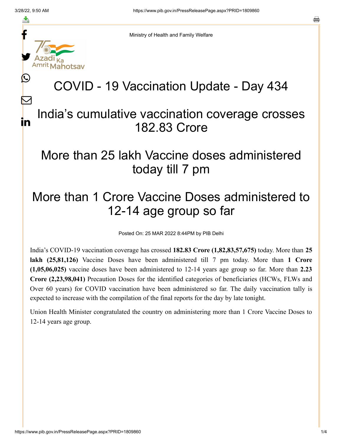f

≛

y.

L

 $\bm{\nabla}$ 

in

o

Ministry of Health and Family Welfare

# COVID - 19 Vaccination Update - Day 434

## India's cumulative vaccination coverage crosses 182.83 Crore

## More than 25 lakh Vaccine doses administered today till 7 pm

## More than 1 Crore Vaccine Doses administered to 12-14 age group so far

Posted On: 25 MAR 2022 8:44PM by PIB Delhi

India's COVID-19 vaccination coverage has crossed **182.83 Crore (1,82,83,57,675)** today. More than **25 lakh (25,81,126)** Vaccine Doses have been administered till 7 pm today. More than **1 Crore (1,05,06,025)** vaccine doses have been administered to 12-14 years age group so far. More than **2.23 Crore (2,23,98,041)** Precaution Doses for the identified categories of beneficiaries (HCWs, FLWs and Over 60 years) for COVID vaccination have been administered so far. The daily vaccination tally is expected to increase with the compilation of the final reports for the day by late tonight.

Union Health Minister congratulated the country on administering more than 1 Crore Vaccine Doses to 12-14 years age group.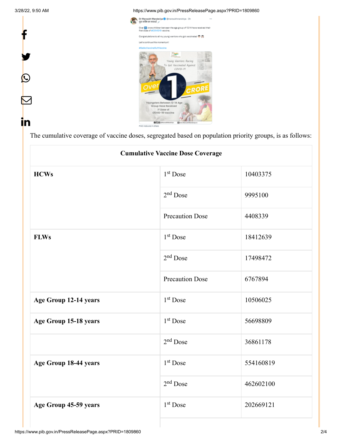f

Y

 $\circ$ 

 $\sum$ 

in

#### 3/28/22, 9:50 AM https://www.pib.gov.in/PressReleasePage.aspx?PRID=1809860



### The cumulative coverage of vaccine doses, segregated based on population priority groups, is as follows:

| <b>Cumulative Vaccine Dose Coverage</b> |                        |           |  |  |
|-----------------------------------------|------------------------|-----------|--|--|
| <b>HCWs</b>                             | 1 <sup>st</sup> Dose   | 10403375  |  |  |
|                                         | $2nd$ Dose             | 9995100   |  |  |
|                                         | <b>Precaution Dose</b> | 4408339   |  |  |
| <b>FLWs</b>                             | 1 <sup>st</sup> Dose   | 18412639  |  |  |
|                                         | $2nd$ Dose             | 17498472  |  |  |
|                                         | <b>Precaution Dose</b> | 6767894   |  |  |
| Age Group 12-14 years                   | 1 <sup>st</sup> Dose   | 10506025  |  |  |
| Age Group 15-18 years                   | 1 <sup>st</sup> Dose   | 56698809  |  |  |
|                                         | $2nd$ Dose             | 36861178  |  |  |
| Age Group 18-44 years                   | 1 <sup>st</sup> Dose   | 554160819 |  |  |
|                                         | $2nd$ Dose             | 462602100 |  |  |
| Age Group 45-59 years                   | 1 <sup>st</sup> Dose   | 202669121 |  |  |
|                                         |                        |           |  |  |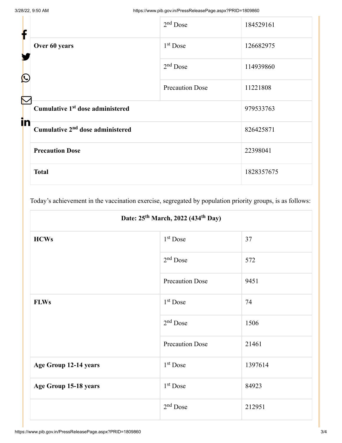| f            |                                              | $2nd$ Dose             | 184529161  |
|--------------|----------------------------------------------|------------------------|------------|
|              | Over 60 years                                | $1st$ Dose             | 126682975  |
| $\bf \Omega$ |                                              | $2nd$ Dose             | 114939860  |
| $\nabla$     |                                              | <b>Precaution Dose</b> | 11221808   |
| in           | Cumulative 1 <sup>st</sup> dose administered |                        | 979533763  |
|              | Cumulative 2 <sup>nd</sup> dose administered |                        | 826425871  |
|              | <b>Precaution Dose</b>                       |                        | 22398041   |
|              | <b>Total</b>                                 |                        | 1828357675 |

Today's achievement in the vaccination exercise, segregated by population priority groups, is as follows:

| Date: 25 <sup>th</sup> March, 2022 (434 <sup>th</sup> Day) |                        |         |  |  |
|------------------------------------------------------------|------------------------|---------|--|--|
| <b>HCWs</b>                                                | $1st$ Dose             | 37      |  |  |
|                                                            | $2nd$ Dose             | 572     |  |  |
|                                                            | <b>Precaution Dose</b> | 9451    |  |  |
| <b>FLWs</b>                                                | $1st$ Dose             | 74      |  |  |
|                                                            | $2nd$ Dose             | 1506    |  |  |
|                                                            | <b>Precaution Dose</b> | 21461   |  |  |
| Age Group 12-14 years                                      | $1st$ Dose             | 1397614 |  |  |
| Age Group 15-18 years                                      | $1st$ Dose             | 84923   |  |  |
|                                                            | $2nd$ Dose             | 212951  |  |  |